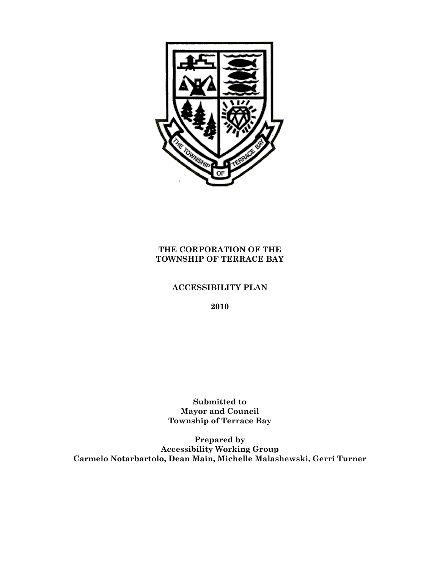

# **THE CORPORATION OF THE TOWNSHIP OF TERRACE BAY**

# **ACCESSIBILITY PLAN**

**2010**

**Submitted to Mayor and Council Township of Terrace Bay** 

**Prepared by Accessibility Working Group Carmelo Notarbartolo, Dean Main, Michelle Malashewski, Gerri Turner**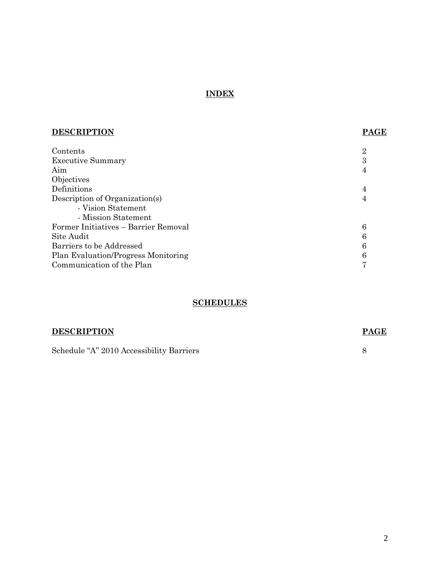# **INDEX**

| <b>DESCRIPTION</b>                   | <b>PAGE</b> |
|--------------------------------------|-------------|
| Contents                             | 2           |
| <b>Executive Summary</b>             | 3           |
| Aim                                  | 4           |
| Objectives                           |             |
| Definitions                          | 4           |
| Description of Organization(s)       | 4           |
| - Vision Statement                   |             |
| - Mission Statement                  |             |
| Former Initiatives – Barrier Removal | 6           |
| Site Audit                           | 6           |
| Barriers to be Addressed             | 6           |
| Plan Evaluation/Progress Monitoring  |             |
| Communication of the Plan            |             |
|                                      |             |

# **SCHEDULES**

| <b>DESCRIPTION</b>                       | <b>PAGE</b> |
|------------------------------------------|-------------|
| Schedule "A" 2010 Accessibility Barriers |             |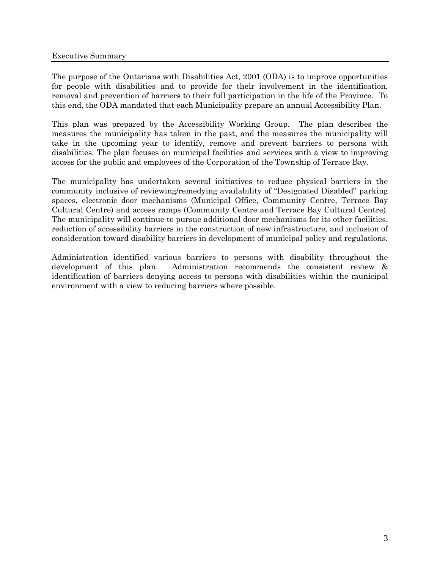The purpose of the Ontarians with Disabilities Act, 2001 (ODA) is to improve opportunities for people with disabilities and to provide for their involvement in the identification, removal and prevention of barriers to their full participation in the life of the Province. To this end, the ODA mandated that each Municipality prepare an annual Accessibility Plan.

This plan was prepared by the Accessibility Working Group. The plan describes the measures the municipality has taken in the past, and the measures the municipality will take in the upcoming year to identify, remove and prevent barriers to persons with disabilities. The plan focuses on municipal facilities and services with a view to improving access for the public and employees of the Corporation of the Township of Terrace Bay.

The municipality has undertaken several initiatives to reduce physical barriers in the community inclusive of reviewing/remedying availability of "Designated Disabled" parking spaces, electronic door mechanisms (Municipal Office, Community Centre, Terrace Bay Cultural Centre) and access ramps (Community Centre and Terrace Bay Cultural Centre). The municipality will continue to pursue additional door mechanisms for its other facilities, reduction of accessibility barriers in the construction of new infrastructure, and inclusion of consideration toward disability barriers in development of municipal policy and regulations.

Administration identified various barriers to persons with disability throughout the development of this plan. Administration recommends the consistent review & identification of barriers denying access to persons with disabilities within the municipal environment with a view to reducing barriers where possible.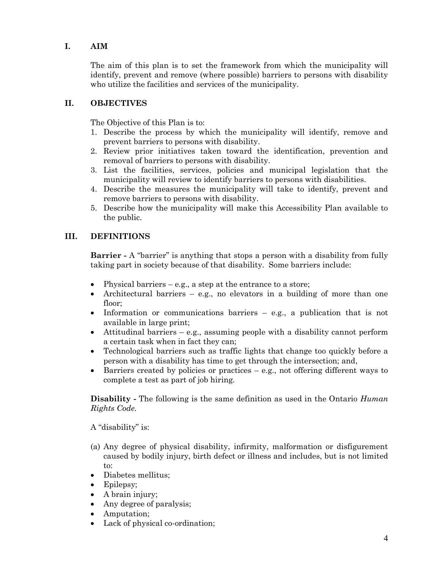# **I. AIM**

The aim of this plan is to set the framework from which the municipality will identify, prevent and remove (where possible) barriers to persons with disability who utilize the facilities and services of the municipality.

# **II. OBJECTIVES**

The Objective of this Plan is to:

- 1. Describe the process by which the municipality will identify, remove and prevent barriers to persons with disability.
- 2. Review prior initiatives taken toward the identification, prevention and removal of barriers to persons with disability.
- 3. List the facilities, services, policies and municipal legislation that the municipality will review to identify barriers to persons with disabilities.
- 4. Describe the measures the municipality will take to identify, prevent and remove barriers to persons with disability.
- 5. Describe how the municipality will make this Accessibility Plan available to the public.

# **III. DEFINITIONS**

**Barrier -** A "barrier" is anything that stops a person with a disability from fully taking part in society because of that disability. Some barriers include:

- Physical barriers  $-$  e.g., a step at the entrance to a store;
- Architectural barriers e.g., no elevators in a building of more than one floor;
- Information or communications barriers e.g., a publication that is not available in large print;
- Attitudinal barriers e.g., assuming people with a disability cannot perform a certain task when in fact they can;
- Technological barriers such as traffic lights that change too quickly before a person with a disability has time to get through the intersection; and,
- $\bullet$  Barriers created by policies or practices e.g., not offering different ways to complete a test as part of job hiring.

**Disability -** The following is the same definition as used in the Ontario *Human Rights Code.*

A "disability" is:

- (a) Any degree of physical disability, infirmity, malformation or disfigurement caused by bodily injury, birth defect or illness and includes, but is not limited to:
- Diabetes mellitus;
- Epilepsy;
- A brain injury;
- Any degree of paralysis;
- Amputation;
- Lack of physical co-ordination;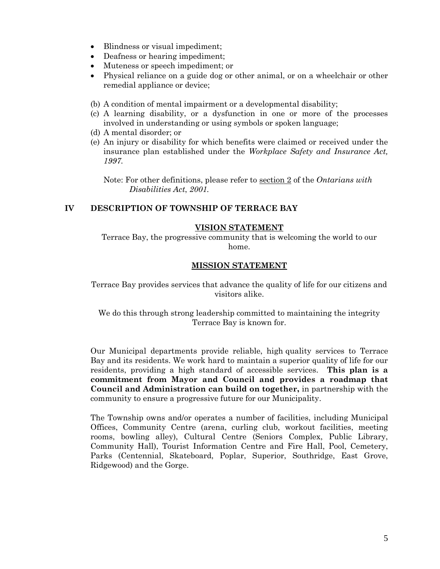- Blindness or visual impediment;
- Deafness or hearing impediment;
- Muteness or speech impediment; or
- Physical reliance on a guide dog or other animal, or on a wheelchair or other remedial appliance or device;
- (b) A condition of mental impairment or a developmental disability;
- (c) A learning disability, or a dysfunction in one or more of the processes involved in understanding or using symbols or spoken language;
- (d) A mental disorder; or
- (e) An injury or disability for which benefits were claimed or received under the insurance plan established under the *Workplace Safety and Insurance Act, 1997.*

Note: For other definitions, please refer to section 2 of the *Ontarians with Disabilities Act*, *2001.*

# **IV DESCRIPTION OF TOWNSHIP OF TERRACE BAY**

#### **VISION STATEMENT**

Terrace Bay, the progressive community that is welcoming the world to our home.

#### **MISSION STATEMENT**

Terrace Bay provides services that advance the quality of life for our citizens and visitors alike.

We do this through strong leadership committed to maintaining the integrity Terrace Bay is known for.

Our Municipal departments provide reliable, high quality services to Terrace Bay and its residents. We work hard to maintain a superior quality of life for our residents, providing a high standard of accessible services. **This plan is a commitment from Mayor and Council and provides a roadmap that Council and Administration can build on together,** in partnership with the community to ensure a progressive future for our Municipality.

The Township owns and/or operates a number of facilities, including Municipal Offices, Community Centre (arena, curling club, workout facilities, meeting rooms, bowling alley), Cultural Centre (Seniors Complex, Public Library, Community Hall), Tourist Information Centre and Fire Hall, Pool, Cemetery, Parks (Centennial, Skateboard, Poplar, Superior, Southridge, East Grove, Ridgewood) and the Gorge.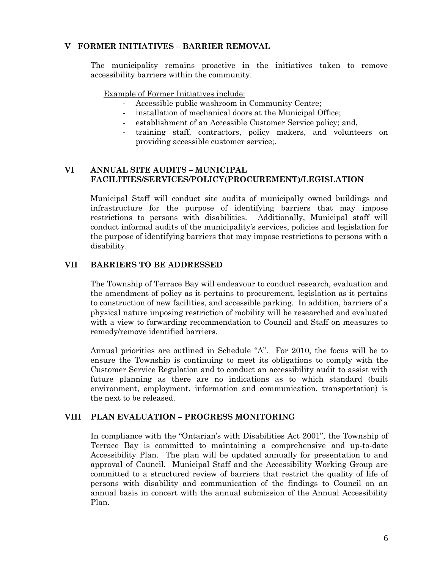#### **V FORMER INITIATIVES – BARRIER REMOVAL**

The municipality remains proactive in the initiatives taken to remove accessibility barriers within the community.

Example of Former Initiatives include:

- Accessible public washroom in Community Centre;
- installation of mechanical doors at the Municipal Office;
- establishment of an Accessible Customer Service policy; and,
- training staff, contractors, policy makers, and volunteers on providing accessible customer service;.

#### **VI ANNUAL SITE AUDITS – MUNICIPAL FACILITIES/SERVICES/POLICY(PROCUREMENT)/LEGISLATION**

Municipal Staff will conduct site audits of municipally owned buildings and infrastructure for the purpose of identifying barriers that may impose restrictions to persons with disabilities. Additionally, Municipal staff will conduct informal audits of the municipality's services, policies and legislation for the purpose of identifying barriers that may impose restrictions to persons with a disability.

### **VII BARRIERS TO BE ADDRESSED**

The Township of Terrace Bay will endeavour to conduct research, evaluation and the amendment of policy as it pertains to procurement, legislation as it pertains to construction of new facilities, and accessible parking. In addition, barriers of a physical nature imposing restriction of mobility will be researched and evaluated with a view to forwarding recommendation to Council and Staff on measures to remedy/remove identified barriers.

Annual priorities are outlined in Schedule "A". For 2010, the focus will be to ensure the Township is continuing to meet its obligations to comply with the Customer Service Regulation and to conduct an accessibility audit to assist with future planning as there are no indications as to which standard (built environment, employment, information and communication, transportation) is the next to be released.

### **VIII PLAN EVALUATION – PROGRESS MONITORING**

In compliance with the "Ontarian's with Disabilities Act 2001", the Township of Terrace Bay is committed to maintaining a comprehensive and up-to-date Accessibility Plan. The plan will be updated annually for presentation to and approval of Council. Municipal Staff and the Accessibility Working Group are committed to a structured review of barriers that restrict the quality of life of persons with disability and communication of the findings to Council on an annual basis in concert with the annual submission of the Annual Accessibility Plan.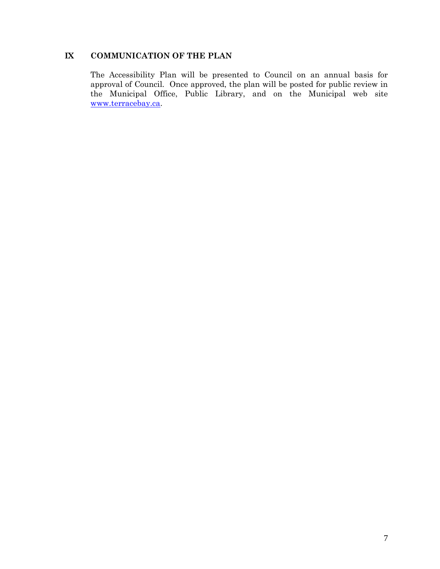# **IX COMMUNICATION OF THE PLAN**

The Accessibility Plan will be presented to Council on an annual basis for approval of Council. Once approved, the plan will be posted for public review in the Municipal Office, Public Library, and on the Municipal web site [www.terracebay.ca.](http://www.marathon.ca/)